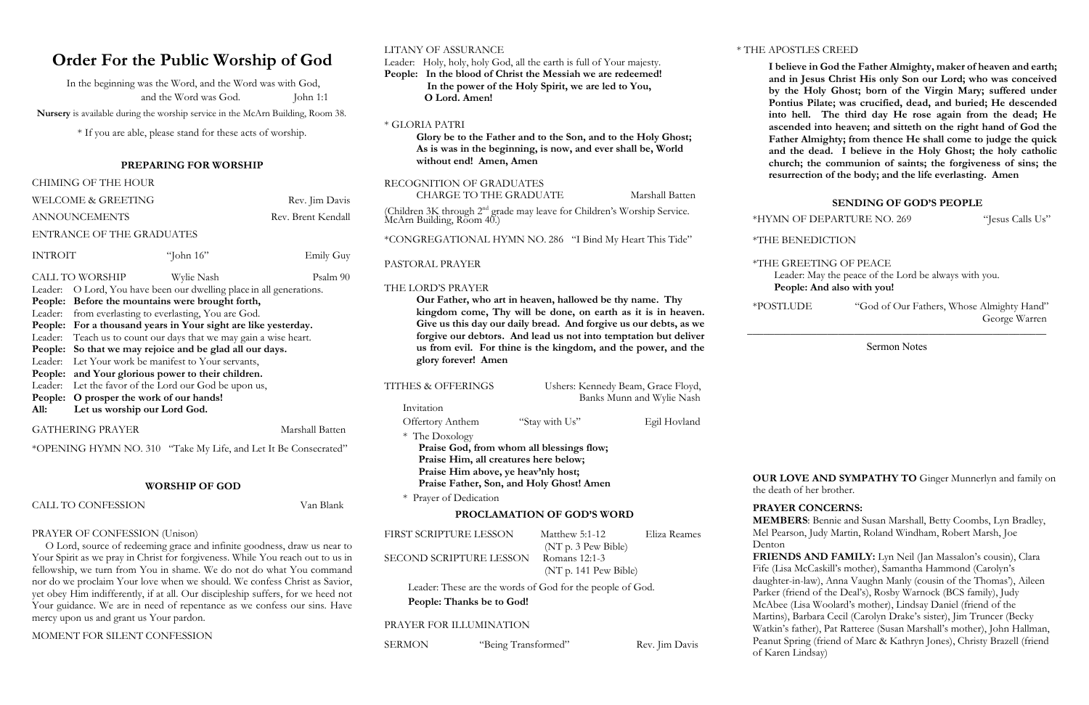# **Order For the Public Worship of God**

In the beginning was the Word, and the Word was with God, and the Word was God. John 1:1

 **Nursery** is available during the worship service in the McArn Building, Room 38.

\* If you are able, please stand for these acts of worship.

#### **PREPARING FOR WORSHIP**

|                                                                                                                                                                                 | <b>CHIMING OF THE HOUR</b>                                        |              |           |  |  |  |
|---------------------------------------------------------------------------------------------------------------------------------------------------------------------------------|-------------------------------------------------------------------|--------------|-----------|--|--|--|
| <b>WELCOME &amp; GREETING</b>                                                                                                                                                   | Rev. Jim Davis                                                    |              |           |  |  |  |
| <b>ANNOUNCEMENTS</b>                                                                                                                                                            | Rev. Brent Kendall                                                |              |           |  |  |  |
| <b>ENTRANCE OF THE GRADUATES</b>                                                                                                                                                |                                                                   |              |           |  |  |  |
| <b>INTROIT</b>                                                                                                                                                                  |                                                                   | "John $16$ " | Emily Guy |  |  |  |
| <b>CALL TO WORSHIP</b><br>Psalm 90<br>Wylie Nash<br>O Lord, You have been our dwelling place in all generations.<br>Leader:<br>People: Before the mountains were brought forth, |                                                                   |              |           |  |  |  |
|                                                                                                                                                                                 | Leader: from everlasting to everlasting, You are God.             |              |           |  |  |  |
|                                                                                                                                                                                 | People: For a thousand years in Your sight are like yesterday.    |              |           |  |  |  |
|                                                                                                                                                                                 | Leader: Teach us to count our days that we may gain a wise heart. |              |           |  |  |  |
|                                                                                                                                                                                 | People: So that we may rejoice and be glad all our days.          |              |           |  |  |  |
| Leader:                                                                                                                                                                         | Let Your work be manifest to Your servants,                       |              |           |  |  |  |
|                                                                                                                                                                                 | People: and Your glorious power to their children.                |              |           |  |  |  |
| Leader:                                                                                                                                                                         | Let the favor of the Lord our God be upon us,                     |              |           |  |  |  |
| People:                                                                                                                                                                         | O prosper the work of our hands!                                  |              |           |  |  |  |
| All:                                                                                                                                                                            | Let us worship our Lord God.                                      |              |           |  |  |  |
| <b>GATHERING PRAYER</b><br>Marshall Batten                                                                                                                                      |                                                                   |              |           |  |  |  |

| LITANY OF ASSURANCE                                                                                                                                                                                                                                                                                                                                        |                                                                                                                                                                       |                                                                                                                | * THE APOSTLES CREED<br>I believe in God the Father Almighty, maker of heaven and ear<br>and in Jesus Christ His only Son our Lord; who was conceiv<br>by the Holy Ghost; born of the Virgin Mary; suffered und<br>Pontius Pilate; was crucified, dead, and buried; He descend<br>into hell. The third day He rose again from the dead; I<br>ascended into heaven; and sitteth on the right hand of God t<br>Father Almighty; from thence He shall come to judge the qui<br>and the dead. I believe in the Holy Ghost; the holy catho<br>church; the communion of saints; the forgiveness of sins; t<br>resurrection of the body; and the life everlasting. Amen |                                                                                                                                                                                                         |                                                                                                                                                                                           |                 |
|------------------------------------------------------------------------------------------------------------------------------------------------------------------------------------------------------------------------------------------------------------------------------------------------------------------------------------------------------------|-----------------------------------------------------------------------------------------------------------------------------------------------------------------------|----------------------------------------------------------------------------------------------------------------|------------------------------------------------------------------------------------------------------------------------------------------------------------------------------------------------------------------------------------------------------------------------------------------------------------------------------------------------------------------------------------------------------------------------------------------------------------------------------------------------------------------------------------------------------------------------------------------------------------------------------------------------------------------|---------------------------------------------------------------------------------------------------------------------------------------------------------------------------------------------------------|-------------------------------------------------------------------------------------------------------------------------------------------------------------------------------------------|-----------------|
| Leader: Holy, holy, holy God, all the earth is full of Your majesty.<br>People: In the blood of Christ the Messiah we are redeemed!<br>In the power of the Holy Spirit, we are led to You,<br>O Lord. Amen!                                                                                                                                                |                                                                                                                                                                       |                                                                                                                |                                                                                                                                                                                                                                                                                                                                                                                                                                                                                                                                                                                                                                                                  |                                                                                                                                                                                                         |                                                                                                                                                                                           |                 |
| * GLORIA PATRI<br>Glory be to the Father and to the Son, and to the Holy Ghost;<br>As is was in the beginning, is now, and ever shall be, World<br>without end! Amen, Amen                                                                                                                                                                                 |                                                                                                                                                                       |                                                                                                                |                                                                                                                                                                                                                                                                                                                                                                                                                                                                                                                                                                                                                                                                  |                                                                                                                                                                                                         |                                                                                                                                                                                           |                 |
|                                                                                                                                                                                                                                                                                                                                                            | RECOGNITION OF GRADUATES<br>CHARGE TO THE GRADUATE                                                                                                                    |                                                                                                                | Marshall Batten                                                                                                                                                                                                                                                                                                                                                                                                                                                                                                                                                                                                                                                  |                                                                                                                                                                                                         |                                                                                                                                                                                           |                 |
|                                                                                                                                                                                                                                                                                                                                                            |                                                                                                                                                                       |                                                                                                                |                                                                                                                                                                                                                                                                                                                                                                                                                                                                                                                                                                                                                                                                  |                                                                                                                                                                                                         | <b>SENDING OF GOD'S PEOPLE</b>                                                                                                                                                            |                 |
|                                                                                                                                                                                                                                                                                                                                                            |                                                                                                                                                                       | (Children 3K through 2 <sup>nd</sup> grade may leave for Children's Worship Service. McArn Building, Room 40.) |                                                                                                                                                                                                                                                                                                                                                                                                                                                                                                                                                                                                                                                                  |                                                                                                                                                                                                         | *HYMN OF DEPARTURE NO. 269                                                                                                                                                                | "Jesus Calls Us |
|                                                                                                                                                                                                                                                                                                                                                            |                                                                                                                                                                       | *CONGREGATIONAL HYMN NO. 286 "I Bind My Heart This Tide"                                                       |                                                                                                                                                                                                                                                                                                                                                                                                                                                                                                                                                                                                                                                                  | *THE BENEDICTION                                                                                                                                                                                        |                                                                                                                                                                                           |                 |
| PASTORAL PRAYER<br>THE LORD'S PRAYER                                                                                                                                                                                                                                                                                                                       |                                                                                                                                                                       |                                                                                                                | *THE GREETING OF PEACE<br>Leader: May the peace of the Lord be always with you.<br>People: And also with you!                                                                                                                                                                                                                                                                                                                                                                                                                                                                                                                                                    |                                                                                                                                                                                                         |                                                                                                                                                                                           |                 |
| Our Father, who art in heaven, hallowed be thy name. Thy<br>kingdom come, Thy will be done, on earth as it is in heaven.<br>Give us this day our daily bread. And forgive us our debts, as we<br>forgive our debtors. And lead us not into temptation but deliver<br>us from evil. For thine is the kingdom, and the power, and the<br>glory forever! Amen |                                                                                                                                                                       |                                                                                                                | *POSTLUDE                                                                                                                                                                                                                                                                                                                                                                                                                                                                                                                                                                                                                                                        | <b>Sermon Notes</b>                                                                                                                                                                                     | "God of Our Fathers, Whose Almighty Hand"<br>George Warren                                                                                                                                |                 |
| <b>TITHES &amp; OFFERINGS</b><br>Ushers: Kennedy Beam, Grace Floyd,<br>Banks Munn and Wylie Nash                                                                                                                                                                                                                                                           |                                                                                                                                                                       |                                                                                                                |                                                                                                                                                                                                                                                                                                                                                                                                                                                                                                                                                                                                                                                                  |                                                                                                                                                                                                         |                                                                                                                                                                                           |                 |
| Invitation                                                                                                                                                                                                                                                                                                                                                 |                                                                                                                                                                       |                                                                                                                |                                                                                                                                                                                                                                                                                                                                                                                                                                                                                                                                                                                                                                                                  |                                                                                                                                                                                                         |                                                                                                                                                                                           |                 |
| <b>Offertory Anthem</b><br>* The Doxology                                                                                                                                                                                                                                                                                                                  | Praise God, from whom all blessings flow;<br>Praise Him, all creatures here below;<br>Praise Him above, ye heav'nly host;<br>Praise Father, Son, and Holy Ghost! Amen | "Stay with Us"                                                                                                 | Egil Hovland                                                                                                                                                                                                                                                                                                                                                                                                                                                                                                                                                                                                                                                     | the death of her brother.                                                                                                                                                                               | <b>OUR LOVE AND SYMPATHY TO</b> Ginger Munnerlyn and family                                                                                                                               |                 |
| * Prayer of Dedication<br>PROCLAMATION OF GOD'S WORD                                                                                                                                                                                                                                                                                                       |                                                                                                                                                                       |                                                                                                                | <b>PRAYER CONCERNS:</b>                                                                                                                                                                                                                                                                                                                                                                                                                                                                                                                                                                                                                                          |                                                                                                                                                                                                         |                                                                                                                                                                                           |                 |
|                                                                                                                                                                                                                                                                                                                                                            |                                                                                                                                                                       |                                                                                                                |                                                                                                                                                                                                                                                                                                                                                                                                                                                                                                                                                                                                                                                                  |                                                                                                                                                                                                         | MEMBERS: Bennie and Susan Marshall, Betty Coombs, Lyn Bradley,                                                                                                                            |                 |
|                                                                                                                                                                                                                                                                                                                                                            | FIRST SCRIPTURE LESSON<br>SECOND SCRIPTURE LESSON                                                                                                                     | Matthew 5:1-12<br>(NT p. 3 Pew Bible)<br>Romans 12:1-3                                                         | Eliza Reames                                                                                                                                                                                                                                                                                                                                                                                                                                                                                                                                                                                                                                                     | Denton                                                                                                                                                                                                  | Mel Pearson, Judy Martin, Roland Windham, Robert Marsh, Joe<br>FRIENDS AND FAMILY: Lyn Neil (Jan Massalon's cousin), Clara<br>Fife (Lisa McCaskill's mother), Samantha Hammond (Carolyn's |                 |
| (NT p. 141 Pew Bible)<br>Leader: These are the words of God for the people of God.<br>People: Thanks be to God!                                                                                                                                                                                                                                            |                                                                                                                                                                       |                                                                                                                |                                                                                                                                                                                                                                                                                                                                                                                                                                                                                                                                                                                                                                                                  | daughter-in-law), Anna Vaughn Manly (cousin of the Thomas'), Aileen<br>Parker (friend of the Deal's), Rosby Warnock (BCS family), Judy<br>McAbee (Lisa Woolard's mother), Lindsay Daniel (friend of the |                                                                                                                                                                                           |                 |
|                                                                                                                                                                                                                                                                                                                                                            | PRAYER FOR ILLUMINATION                                                                                                                                               |                                                                                                                |                                                                                                                                                                                                                                                                                                                                                                                                                                                                                                                                                                                                                                                                  |                                                                                                                                                                                                         | Martins), Barbara Cecil (Carolyn Drake's sister), Jim Truncer (Becky<br>Watkin's father), Pat Ratteree (Susan Marshall's mother), John Hallman                                            |                 |
| <b>SERMON</b>                                                                                                                                                                                                                                                                                                                                              | "Being Transformed"                                                                                                                                                   |                                                                                                                | Rev. Jim Davis                                                                                                                                                                                                                                                                                                                                                                                                                                                                                                                                                                                                                                                   |                                                                                                                                                                                                         | Peanut Spring (friend of Marc & Kathryn Jones), Christy Brazell (friend                                                                                                                   |                 |

\*OPENING HYMN NO. 310 "Take My Life, and Let It Be Consecrated"

#### **WORSHIP OF GOD**

CALL TO CONFESSION Van Blank

### PRAYER OF CONFESSION (Unison)

 O Lord, source of redeeming grace and infinite goodness, draw us near to Your Spirit as we pray in Christ for forgiveness. While You reach out to us in fellowship, we turn from You in shame. We do not do what You command nor do we proclaim Your love when we should. We confess Christ as Savior, yet obey Him indifferently, if at all. Our discipleship suffers, for we heed not Your guidance. We are in need of repentance as we confess our sins. Have mercy upon us and grant us Your pardon.

#### MOMENT FOR SILENT CONFESSION

#### \* THE APOSTLES CREED

#### **SENDING OF GOD'S PEOPLE**

#### *FER CONCERNS:*

 **FRIENDS AND FAMILY:** Lyn Neil (Jan Massalon's cousin), Clara Lisa McCaskill's mother), Samantha Hammond (Carolyn's nter-in-law), Anna Vaughn Manly (cousin of the Thomas'), Aileen r (friend of the Deal's), Rosby Warnock (BCS family), Judy bee (Lisa Woolard's mother), Lindsay Daniel (friend of the ns), Barbara Cecil (Carolyn Drake's sister), Jim Truncer (Becky in's father), Pat Ratteree (Susan Marshall's mother), John Hallman, It Spring (friend of Marc & Kathryn Jones), Christy Brazell (friend of Karen Lindsay)